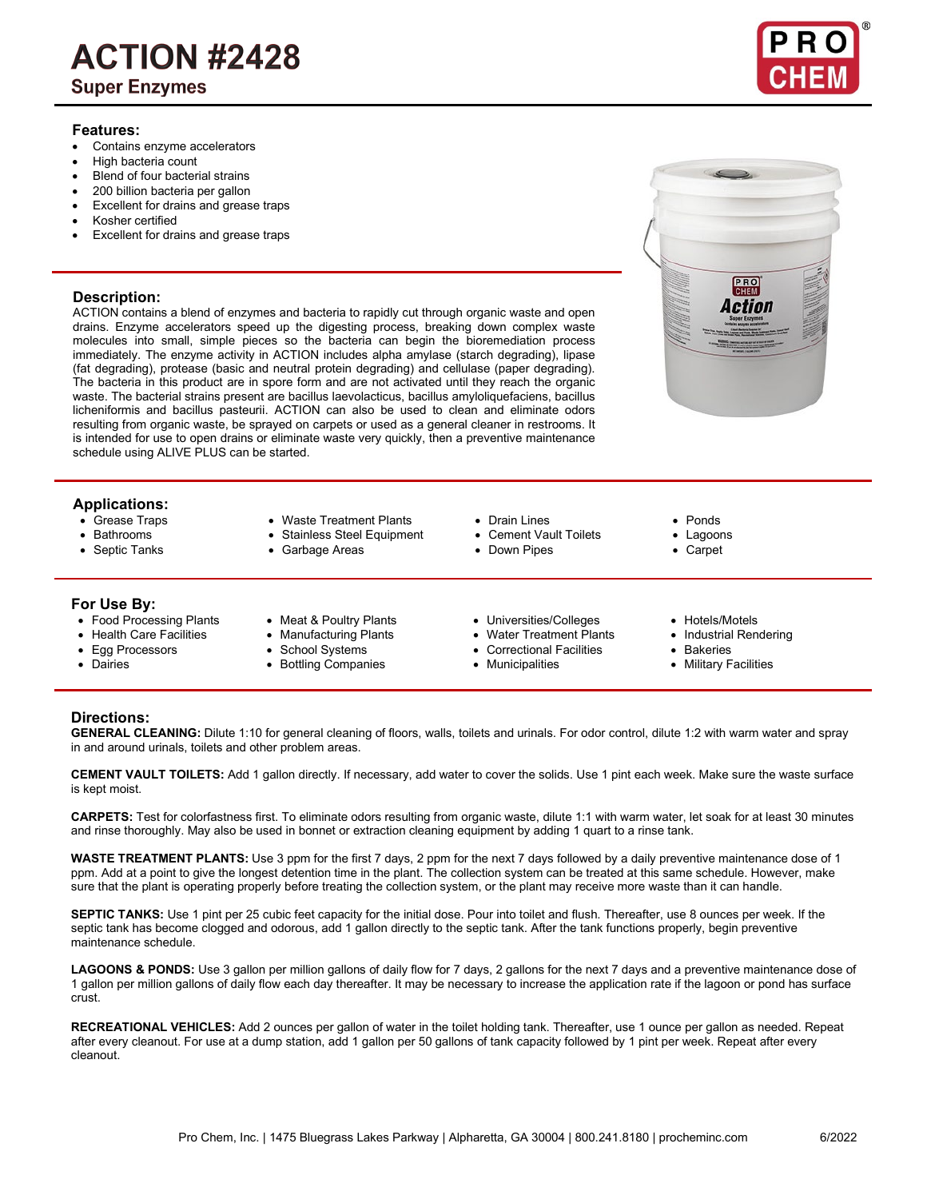# **ACTION #2428**

**Super Enzymes** 

### **Features:**

- Contains enzyme accelerators
- High bacteria count
- Blend of four bacterial strains
- 200 billion bacteria per gallon
- Excellent for drains and grease traps
- Kosher certified
- Excellent for drains and grease traps

## **Description:**

ACTION contains a blend of enzymes and bacteria to rapidly cut through organic waste and open drains. Enzyme accelerators speed up the digesting process, breaking down complex waste molecules into small, simple pieces so the bacteria can begin the bioremediation process immediately. The enzyme activity in ACTION includes alpha amylase (starch degrading), lipase (fat degrading), protease (basic and neutral protein degrading) and cellulase (paper degrading). The bacteria in this product are in spore form and are not activated until they reach the organic waste. The bacterial strains present are bacillus laevolacticus, bacillus amyloliquefaciens, bacillus licheniformis and bacillus pasteurii. ACTION can also be used to clean and eliminate odors resulting from organic waste, be sprayed on carpets or used as a general cleaner in restrooms. It is intended for use to open drains or eliminate waste very quickly, then a preventive maintenance schedule using ALIVE PLUS can be started.

# **Applications:**

- Grease Traps Waste Treatment Plants Drain Lines Ponds
- 
- 
- 

### **For Use By:**

- Food Processing Plants Meat & Poultry Plants Universities/Colleges Hotels/Motels
- 
- 
- 
- 
- 
- Egg Processors School Systems Correctional Facilities Bakeries • Bottling Companies
- Bathrooms Stainless Steel Equipment Cement Vault Toilets Lagoons
- Septic Tanks Garbage Areas Down Pipes Carpet
- -
	-

- 
- 
- 
- Health Care Facilities Manufacturing Plants Water Treatment Plants Industrial Rendering<br>• Egg Processors School Systems Correctional Facilities Bakeries
	-
- 
- 
- 
- 
- 
- 
- 
- 

# **Directions:**

**GENERAL CLEANING:** Dilute 1:10 for general cleaning of floors, walls, toilets and urinals. For odor control, dilute 1:2 with warm water and spray in and around urinals, toilets and other problem areas.

**CEMENT VAULT TOILETS:** Add 1 gallon directly. If necessary, add water to cover the solids. Use 1 pint each week. Make sure the waste surface is kept moist.

**CARPETS:** Test for colorfastness first. To eliminate odors resulting from organic waste, dilute 1:1 with warm water, let soak for at least 30 minutes and rinse thoroughly. May also be used in bonnet or extraction cleaning equipment by adding 1 quart to a rinse tank.

**WASTE TREATMENT PLANTS:** Use 3 ppm for the first 7 days, 2 ppm for the next 7 days followed by a daily preventive maintenance dose of 1 ppm. Add at a point to give the longest detention time in the plant. The collection system can be treated at this same schedule. However, make sure that the plant is operating properly before treating the collection system, or the plant may receive more waste than it can handle.

**SEPTIC TANKS:** Use 1 pint per 25 cubic feet capacity for the initial dose. Pour into toilet and flush. Thereafter, use 8 ounces per week. If the septic tank has become clogged and odorous, add 1 gallon directly to the septic tank. After the tank functions properly, begin preventive maintenance schedule.

LAGOONS & PONDS: Use 3 gallon per million gallons of daily flow for 7 days, 2 gallons for the next 7 days and a preventive maintenance dose of 1 gallon per million gallons of daily flow each day thereafter. It may be necessary to increase the application rate if the lagoon or pond has surface crust.

**RECREATIONAL VEHICLES:** Add 2 ounces per gallon of water in the toilet holding tank. Thereafter, use 1 ounce per gallon as needed. Repeat after every cleanout. For use at a dump station, add 1 gallon per 50 gallons of tank capacity followed by 1 pint per week. Repeat after every cleanout.

6/2022